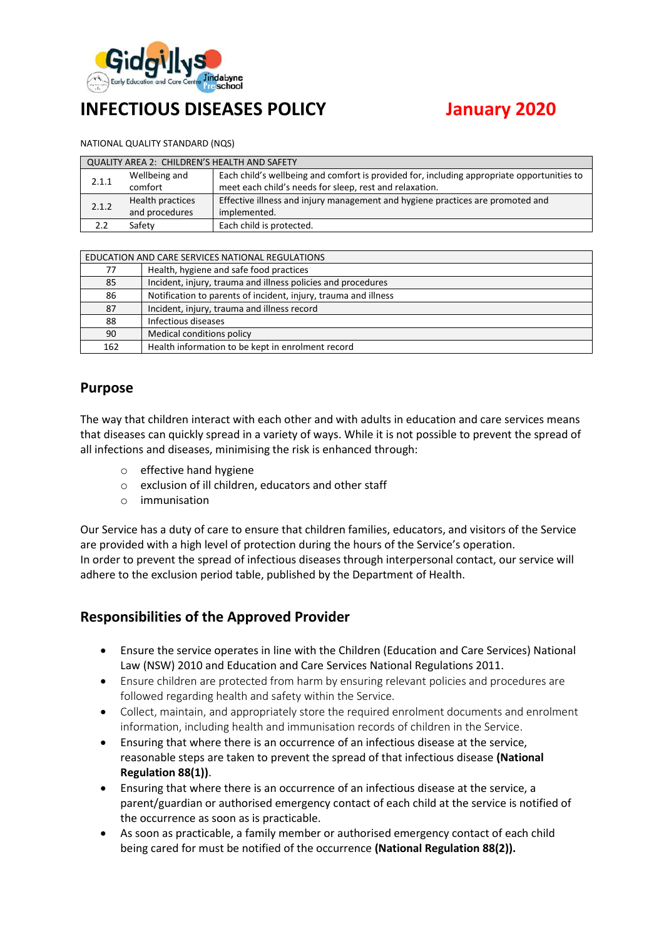

# **INFECTIOUS DISEASES POLICY January 2020**

NATIONAL QUALITY STANDARD (NQS)

| QUALITY AREA 2: CHILDREN'S HEALTH AND SAFETY |                  |                                                                                            |  |  |
|----------------------------------------------|------------------|--------------------------------------------------------------------------------------------|--|--|
| 2.1.1                                        | Wellbeing and    | Each child's wellbeing and comfort is provided for, including appropriate opportunities to |  |  |
|                                              | comfort          | meet each child's needs for sleep, rest and relaxation.                                    |  |  |
| 2.1.2                                        | Health practices | Effective illness and injury management and hygiene practices are promoted and             |  |  |
|                                              | and procedures   | implemented.                                                                               |  |  |
|                                              | Safety           | Each child is protected.                                                                   |  |  |

| EDUCATION AND CARE SERVICES NATIONAL REGULATIONS |                                                                 |  |  |  |
|--------------------------------------------------|-----------------------------------------------------------------|--|--|--|
| 77                                               | Health, hygiene and safe food practices                         |  |  |  |
| 85                                               | Incident, injury, trauma and illness policies and procedures    |  |  |  |
| 86                                               | Notification to parents of incident, injury, trauma and illness |  |  |  |
| 87                                               | Incident, injury, trauma and illness record                     |  |  |  |
| 88                                               | Infectious diseases                                             |  |  |  |
| 90                                               | Medical conditions policy                                       |  |  |  |
| 162                                              | Health information to be kept in enrolment record               |  |  |  |

## **Purpose**

The way that children interact with each other and with adults in education and care services means that diseases can quickly spread in a variety of ways. While it is not possible to prevent the spread of all infections and diseases, minimising the risk is enhanced through:

- o effective hand hygiene
- o exclusion of ill children, educators and other staff
- o immunisation

Our Service has a duty of care to ensure that children families, educators, and visitors of the Service are provided with a high level of protection during the hours of the Service's operation. In order to prevent the spread of infectious diseases through interpersonal contact, our service will adhere to the exclusion period table, published by the Department of Health.

## **Responsibilities of the Approved Provider**

- Ensure the service operates in line with the Children (Education and Care Services) National Law (NSW) 2010 and Education and Care Services National Regulations 2011.
- Ensure children are protected from harm by ensuring relevant policies and procedures are followed regarding health and safety within the Service.
- Collect, maintain, and appropriately store the required enrolment documents and enrolment information, including health and immunisation records of children in the Service.
- Ensuring that where there is an occurrence of an infectious disease at the service, reasonable steps are taken to prevent the spread of that infectious disease **(National Regulation 88(1))**.
- Ensuring that where there is an occurrence of an infectious disease at the service, a parent/guardian or authorised emergency contact of each child at the service is notified of the occurrence as soon as is practicable.
- As soon as practicable, a family member or authorised emergency contact of each child being cared for must be notified of the occurrence **(National Regulation 88(2)).**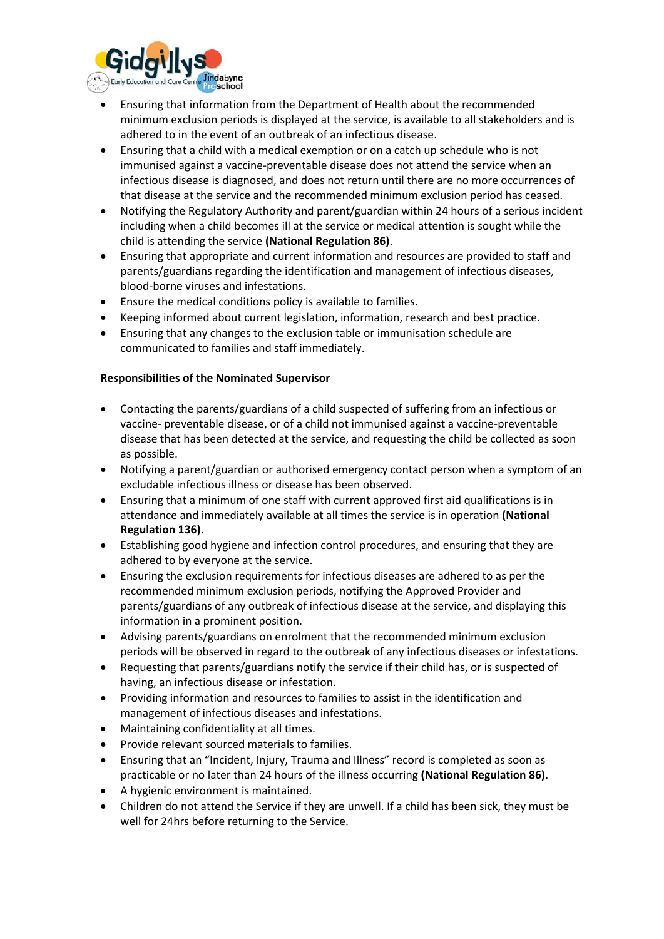

- Ensuring that information from the Department of Health about the recommended minimum exclusion periods is displayed at the service, is available to all stakeholders and is adhered to in the event of an outbreak of an infectious disease.
- Ensuring that a child with a medical exemption or on a catch up schedule who is not immunised against a vaccine-preventable disease does not attend the service when an infectious disease is diagnosed, and does not return until there are no more occurrences of that disease at the service and the recommended minimum exclusion period has ceased.
- Notifying the Regulatory Authority and parent/guardian within 24 hours of a serious incident including when a child becomes ill at the service or medical attention is sought while the child is attending the service **(National Regulation 86)**.
- Ensuring that appropriate and current information and resources are provided to staff and parents/guardians regarding the identification and management of infectious diseases, blood-borne viruses and infestations.
- Ensure the medical conditions policy is available to families.
- Keeping informed about current legislation, information, research and best practice.
- Ensuring that any changes to the exclusion table or immunisation schedule are communicated to families and staff immediately.

#### **Responsibilities of the Nominated Supervisor**

- Contacting the parents/guardians of a child suspected of suffering from an infectious or vaccine- preventable disease, or of a child not immunised against a vaccine-preventable disease that has been detected at the service, and requesting the child be collected as soon as possible.
- Notifying a parent/guardian or authorised emergency contact person when a symptom of an excludable infectious illness or disease has been observed.
- Ensuring that a minimum of one staff with current approved first aid qualifications is in attendance and immediately available at all times the service is in operation **(National Regulation 136)**.
- Establishing good hygiene and infection control procedures, and ensuring that they are adhered to by everyone at the service.
- Ensuring the exclusion requirements for infectious diseases are adhered to as per the recommended minimum exclusion periods, notifying the Approved Provider and parents/guardians of any outbreak of infectious disease at the service, and displaying this information in a prominent position.
- Advising parents/guardians on enrolment that the recommended minimum exclusion periods will be observed in regard to the outbreak of any infectious diseases or infestations.
- Requesting that parents/guardians notify the service if their child has, or is suspected of having, an infectious disease or infestation.
- Providing information and resources to families to assist in the identification and management of infectious diseases and infestations.
- Maintaining confidentiality at all times.
- Provide relevant sourced materials to families.
- Ensuring that an "Incident, Injury, Trauma and Illness" record is completed as soon as practicable or no later than 24 hours of the illness occurring **(National Regulation 86)**.
- A hygienic environment is maintained.
- Children do not attend the Service if they are unwell. If a child has been sick, they must be well for 24hrs before returning to the Service.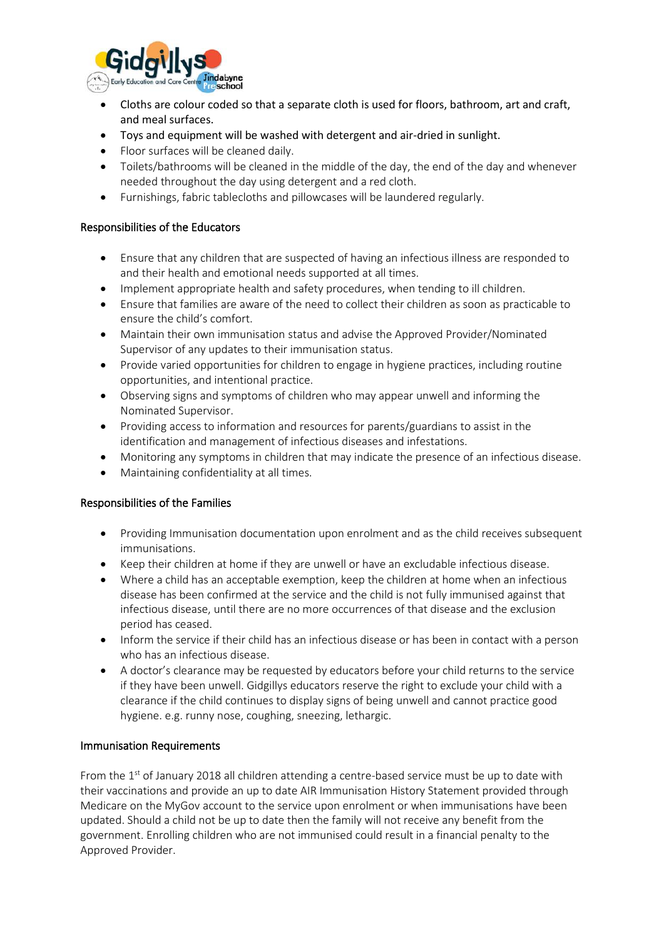

- Cloths are colour coded so that a separate cloth is used for floors, bathroom, art and craft, and meal surfaces.
- Toys and equipment will be washed with detergent and air-dried in sunlight.
- Floor surfaces will be cleaned daily.
- Toilets/bathrooms will be cleaned in the middle of the day, the end of the day and whenever needed throughout the day using detergent and a red cloth.
- Furnishings, fabric tablecloths and pillowcases will be laundered regularly.

#### Responsibilities of the Educators

- Ensure that any children that are suspected of having an infectious illness are responded to and their health and emotional needs supported at all times.
- Implement appropriate health and safety procedures, when tending to ill children.
- Ensure that families are aware of the need to collect their children as soon as practicable to ensure the child's comfort.
- Maintain their own immunisation status and advise the Approved Provider/Nominated Supervisor of any updates to their immunisation status.
- Provide varied opportunities for children to engage in hygiene practices, including routine opportunities, and intentional practice.
- Observing signs and symptoms of children who may appear unwell and informing the Nominated Supervisor.
- Providing access to information and resources for parents/guardians to assist in the identification and management of infectious diseases and infestations.
- Monitoring any symptoms in children that may indicate the presence of an infectious disease.
- Maintaining confidentiality at all times.

#### Responsibilities of the Families

- Providing Immunisation documentation upon enrolment and as the child receives subsequent immunisations.
- Keep their children at home if they are unwell or have an excludable infectious disease.
- Where a child has an acceptable exemption, keep the children at home when an infectious disease has been confirmed at the service and the child is not fully immunised against that infectious disease, until there are no more occurrences of that disease and the exclusion period has ceased.
- Inform the service if their child has an infectious disease or has been in contact with a person who has an infectious disease.
- A doctor's clearance may be requested by educators before your child returns to the service if they have been unwell. Gidgillys educators reserve the right to exclude your child with a clearance if the child continues to display signs of being unwell and cannot practice good hygiene. e.g. runny nose, coughing, sneezing, lethargic.

#### Immunisation Requirements

From the 1<sup>st</sup> of January 2018 all children attending a centre-based service must be up to date with their vaccinations and provide an up to date AIR Immunisation History Statement provided through Medicare on the MyGov account to the service upon enrolment or when immunisations have been updated. Should a child not be up to date then the family will not receive any benefit from the government. Enrolling children who are not immunised could result in a financial penalty to the Approved Provider.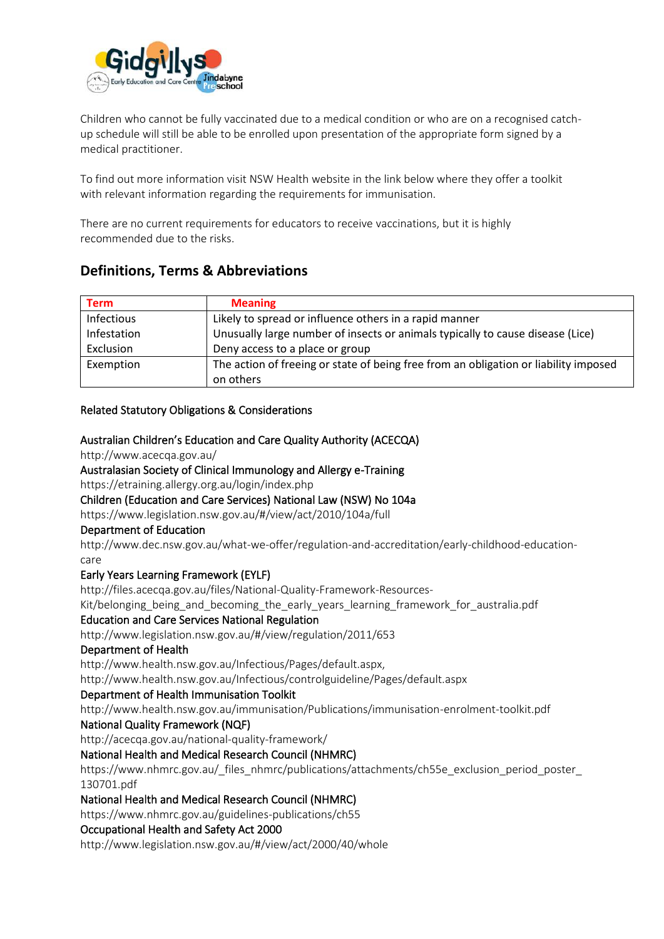

Children who cannot be fully vaccinated due to a medical condition or who are on a recognised catchup schedule will still be able to be enrolled upon presentation of the appropriate form signed by a medical practitioner.

To find out more information visit NSW Health website in the link below where they offer a toolkit with relevant information regarding the requirements for immunisation.

There are no current requirements for educators to receive vaccinations, but it is highly recommended due to the risks.

## **Definitions, Terms & Abbreviations**

| <b>Term</b> | <b>Meaning</b>                                                                       |
|-------------|--------------------------------------------------------------------------------------|
| Infectious  | Likely to spread or influence others in a rapid manner                               |
| Infestation | Unusually large number of insects or animals typically to cause disease (Lice)       |
| Exclusion   | Deny access to a place or group                                                      |
| Exemption   | The action of freeing or state of being free from an obligation or liability imposed |
|             | on others                                                                            |

#### Related Statutory Obligations & Considerations

#### Australian Children's Education and Care Quality Authority (ACECQA)

http://www.acecqa.gov.au/

#### Australasian Society of Clinical Immunology and Allergy e-Training

https://etraining.allergy.org.au/login/index.php

#### Children (Education and Care Services) National Law (NSW) No 104a

https://www.legislation.nsw.gov.au/#/view/act/2010/104a/full

#### Department of Education

http://www.dec.nsw.gov.au/what-we-offer/regulation-and-accreditation/early-childhood-educationcare

#### Early Years Learning Framework (EYLF)

http://files.acecqa.gov.au/files/National-Quality-Framework-Resources-

Kit/belonging\_being\_and\_becoming\_the\_early\_years\_learning\_framework\_for\_australia.pdf

#### Education and Care Services National Regulation

http://www.legislation.nsw.gov.au/#/view/regulation/2011/653

#### Department of Health

http://www.health.nsw.gov.au/Infectious/Pages/default.aspx,

http://www.health.nsw.gov.au/Infectious/controlguideline/Pages/default.aspx

#### Department of Health Immunisation Toolkit

http://www.health.nsw.gov.au/immunisation/Publications/immunisation-enrolment-toolkit.pdf

#### National Quality Framework (NQF)

http://acecqa.gov.au/national-quality-framework/

#### National Health and Medical Research Council (NHMRC)

https://www.nhmrc.gov.au/\_files\_nhmrc/publications/attachments/ch55e\_exclusion\_period\_poster 130701.pdf

#### National Health and Medical Research Council (NHMRC)

https://www.nhmrc.gov.au/guidelines-publications/ch55

#### Occupational Health and Safety Act 2000

http://www.legislation.nsw.gov.au/#/view/act/2000/40/whole